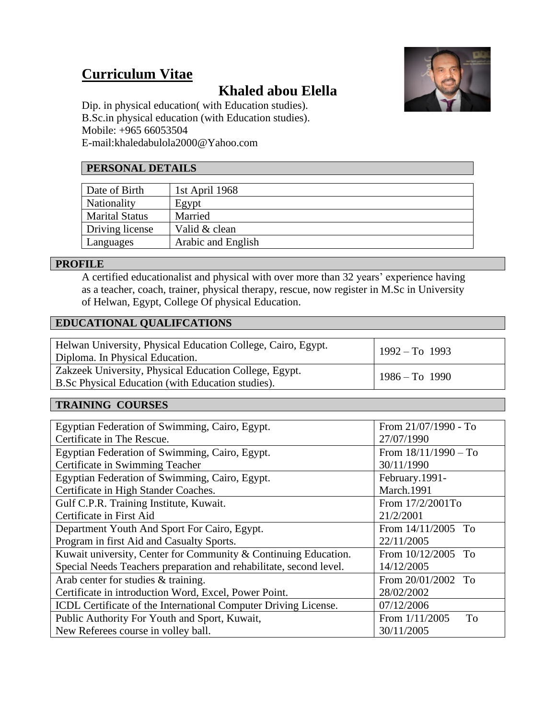# **Curriculum Vitae**

## **Khaled abou Elella**



Dip. in physical education( with Education studies). B.Sc.in physical education (with Education studies). Mobile: +965 66053504 E-mail:khaledabulola2000@Yahoo.com

#### **PERSONAL DETAILS**

| Date of Birth         | 1st April 1968     |
|-----------------------|--------------------|
| <b>Nationality</b>    | Egypt              |
| <b>Marital Status</b> | Married            |
| Driving license       | Valid & clean      |
| Languages             | Arabic and English |

#### **PROFILE**

A certified educationalist and physical with over more than 32 years' experience having as a teacher, coach, trainer, physical therapy, rescue, now register in M.Sc in University of Helwan, Egypt, College Of physical Education.

#### **EDUCATIONAL QUALIFCATIONS**

| Helwan University, Physical Education College, Cairo, Egypt.<br>Diploma. In Physical Education.              | $1992 - To 1993$ |
|--------------------------------------------------------------------------------------------------------------|------------------|
| Zakzeek University, Physical Education College, Egypt.<br>B. Sc Physical Education (with Education studies). | $1986 - To 1990$ |

#### **TRAINING COURSES**

| Egyptian Federation of Swimming, Cairo, Egypt.                     | From 21/07/1990 - To   |
|--------------------------------------------------------------------|------------------------|
| Certificate in The Rescue.                                         | 27/07/1990             |
| Egyptian Federation of Swimming, Cairo, Egypt.                     | From $18/11/1990 - To$ |
| Certificate in Swimming Teacher                                    | 30/11/1990             |
| Egyptian Federation of Swimming, Cairo, Egypt.                     | February.1991-         |
| Certificate in High Stander Coaches.                               | <b>March.1991</b>      |
| Gulf C.P.R. Training Institute, Kuwait.                            | From 17/2/2001To       |
| Certificate in First Aid                                           | 21/2/2001              |
| Department Youth And Sport For Cairo, Egypt.                       | From 14/11/2005 To     |
| Program in first Aid and Casualty Sports.                          | 22/11/2005             |
| Kuwait university, Center for Community & Continuing Education.    | From 10/12/2005 To     |
| Special Needs Teachers preparation and rehabilitate, second level. | 14/12/2005             |
| Arab center for studies & training.                                | From 20/01/2002 To     |
| Certificate in introduction Word, Excel, Power Point.              | 28/02/2002             |
| ICDL Certificate of the International Computer Driving License.    | 07/12/2006             |
| Public Authority For Youth and Sport, Kuwait,                      | From $1/11/2005$<br>To |
| New Referees course in volley ball.                                | 30/11/2005             |